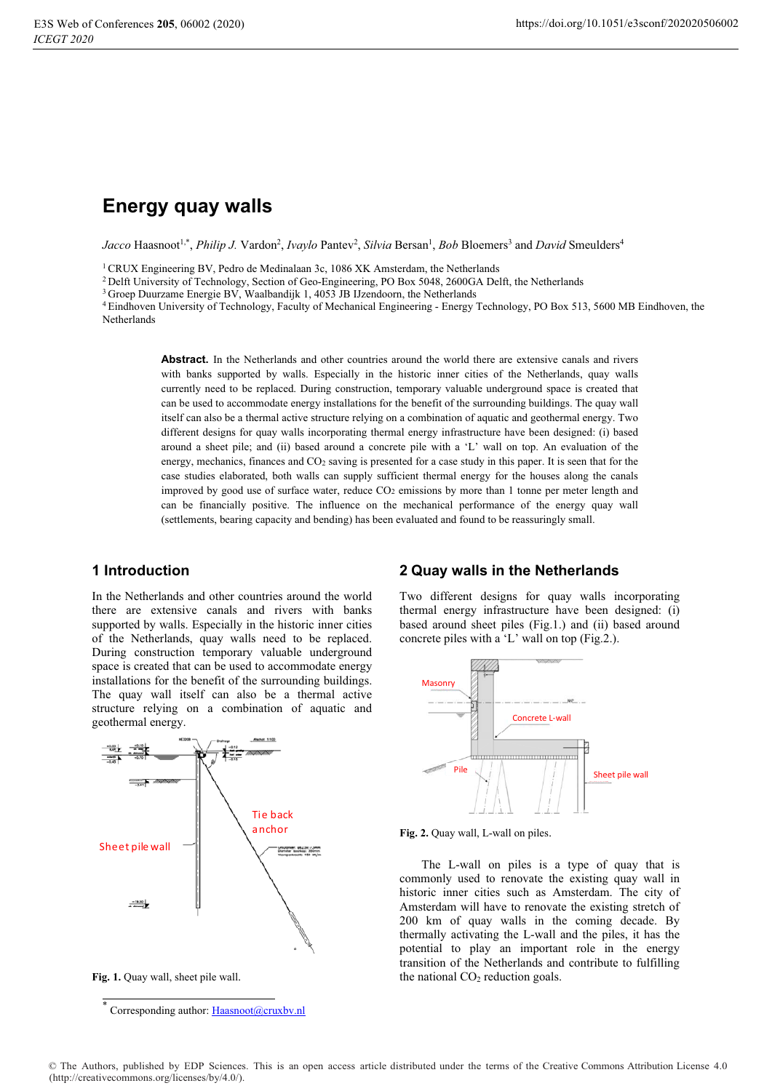# **Energy quay walls**

*Jacco* Haasnoot<sup>1,\*</sup>, *Philip J.* Vardon<sup>2</sup>, *Ivaylo* Pantev<sup>2</sup>, *Silvia* Bersan<sup>1</sup>, *Bob* Bloemers<sup>3</sup> and *David* Smeulders<sup>4</sup>

<sup>1</sup> CRUX Engineering BV, Pedro de Medinalaan 3c, 1086 XK Amsterdam, the Netherlands

<sup>2</sup> Delft University of Technology, Section of Geo-Engineering, PO Box 5048, 2600GA Delft, the Netherlands

 $3$  Groep Duurzame Energie BV, Waalbandijk 1, 4053 JB IJzendoorn, the Netherlands

<sup>4</sup> Eindhoven University of Technology, Faculty of Mechanical Engineering - Energy Technology, PO Box 513, 5600 MB Eindhoven, the Netherlands

Abstract. In the Netherlands and other countries around the world there are extensive canals and rivers with banks supported by walls. Especially in the historic inner cities of the Netherlands, quay walls currently need to be replaced. During construction, temporary valuable underground space is created that can be used to accommodate energy installations for the benefit of the surrounding buildings. The quay wall itself can also be a thermal active structure relying on a combination of aquatic and geothermal energy. Two different designs for quay walls incorporating thermal energy infrastructure have been designed: (i) based around a sheet pile; and (ii) based around a concrete pile with a 'L' wall on top. An evaluation of the energy, mechanics, finances and  $CO<sub>2</sub>$  saving is presented for a case study in this paper. It is seen that for the case studies elaborated, both walls can supply sufficient thermal energy for the houses along the canals improved by good use of surface water, reduce  $CO<sub>2</sub>$  emissions by more than 1 tonne per meter length and can be financially positive. The influence on the mechanical performance of the energy quay wall (settlements, bearing capacity and bending) has been evaluated and found to be reassuringly small.

# 1 Introduction

In the Netherlands and other countries around the world there are extensive canals and rivers with banks supported by walls. Especially in the historic inner cities of the Netherlands, quay walls need to be replaced. During construction temporary valuable underground space is created that can be used to accommodate energy installations for the benefit of the surrounding buildings. The quay wall itself can also be a thermal active structure relying on a combination of aquatic and geothermal energy.



Fig. 1. Quay wall, sheet pile wall.

# **2 Quay walls in the Netherlands**

Two different designs for quay walls incorporating thermal energy infrastructure have been designed: (i) based around sheet piles (Fig.1.) and (ii) based around concrete piles with a 'L' wall on top (Fig.2.).



Fig. 2. Quay wall, L-wall on piles.

The L-wall on piles is a type of quay that is commonly used to renovate the existing quay wall in historic inner cities such as Amsterdam. The city of Amsterdam will have to renovate the existing stretch of 200 km of quay walls in the coming decade. By thermally activating the L-wall and the piles, it has the potential to play an important role in the energy transition of the Netherlands and contribute to fulfilling the national  $CO<sub>2</sub>$  reduction goals.

<sup>-</sup>Corresponding author: Haasnoot@cruxbv.nl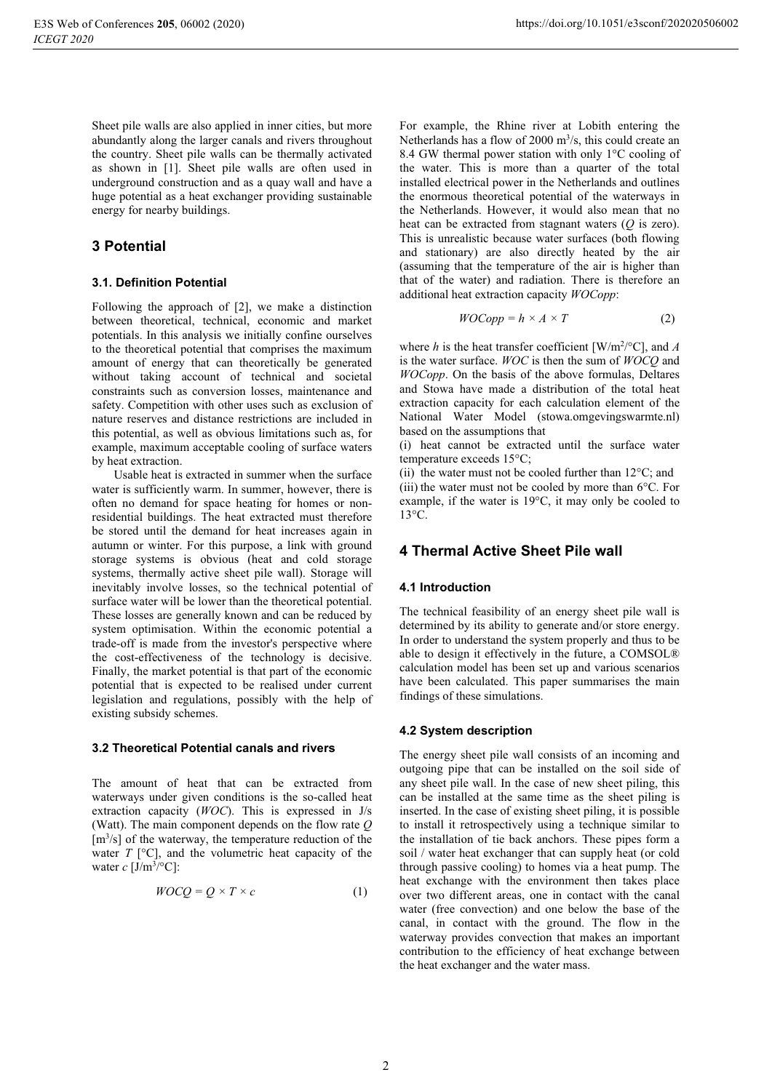Sheet pile walls are also applied in inner cities, but more abundantly along the larger canals and rivers throughout the country. Sheet pile walls can be thermally activated as shown in [1]. Sheet pile walls are often used in underground construction and as a quay wall and have a huge potential as a heat exchanger providing sustainable energy for nearby buildings.

# **3 Potential**

### 3.1. Definition Potential

Following the approach of [2], we make a distinction between theoretical, technical, economic and market potentials. In this analysis we initially confine ourselves to the theoretical potential that comprises the maximum amount of energy that can theoretically be generated without taking account of technical and societal constraints such as conversion losses, maintenance and safety. Competition with other uses such as exclusion of nature reserves and distance restrictions are included in this potential, as well as obvious limitations such as, for example, maximum acceptable cooling of surface waters by heat extraction.

Usable heat is extracted in summer when the surface water is sufficiently warm. In summer, however, there is often no demand for space heating for homes or nonresidential buildings. The heat extracted must therefore be stored until the demand for heat increases again in autumn or winter. For this purpose, a link with ground storage systems is obvious (heat and cold storage systems, thermally active sheet pile wall). Storage will inevitably involve losses, so the technical potential of surface water will be lower than the theoretical potential. These losses are generally known and can be reduced by system optimisation. Within the economic potential a trade-off is made from the investor's perspective where the cost-effectiveness of the technology is decisive. Finally, the market potential is that part of the economic potential that is expected to be realised under current legislation and regulations, possibly with the help of existing subsidy schemes.

#### 3.2 Theoretical Potential canals and rivers

The amount of heat that can be extracted from waterways under given conditions is the so-called heat extraction capacity ( $WOC$ ). This is expressed in  $J/s$ (Watt). The main component depends on the flow rate  $Q$  $[m<sup>3</sup>/s]$  of the waterway, the temperature reduction of the water  $T$  [ $^{\circ}$ C], and the volumetric heat capacity of the water  $c$  [J/m<sup>3</sup>/°C]:

$$
WOCQ = Q \times T \times c \tag{1}
$$

For example, the Rhine river at Lobith entering the Netherlands has a flow of 2000  $m^3/s$ , this could create an 8.4 GW thermal power station with only 1°C cooling of the water. This is more than a quarter of the total installed electrical power in the Netherlands and outlines the enormous theoretical potential of the waterways in the Netherlands. However, it would also mean that no heat can be extracted from stagnant waters  $(Q \text{ is zero})$ . This is unrealistic because water surfaces (both flowing and stationary) are also directly heated by the air (assuming that the temperature of the air is higher than that of the water) and radiation. There is therefore an additional heat extraction capacity WOCopp:

$$
VOCopp = h \times A \times T \tag{2}
$$

where h is the heat transfer coefficient [W/m<sup>2/o</sup>C], and A is the water surface. WOC is then the sum of WOCO and WOCopp. On the basis of the above formulas, Deltares and Stowa have made a distribution of the total heat extraction capacity for each calculation element of the National Water Model (stowa.omgevingswarmte.nl) based on the assumptions that

(i) heat cannot be extracted until the surface water temperature exceeds 15°C;

(ii) the water must not be cooled further than  $12^{\circ}$ C; and (iii) the water must not be cooled by more than  $6^{\circ}$ C. For example, if the water is 19°C, it may only be cooled to  $13^{\circ}C$ 

# 4 Thermal Active Sheet Pile wall

### 4.1 Introduction

The technical feasibility of an energy sheet pile wall is determined by its ability to generate and/or store energy. In order to understand the system properly and thus to be able to design it effectively in the future, a COMSOL® calculation model has been set up and various scenarios have been calculated. This paper summarises the main findings of these simulations.

#### 4.2 System description

The energy sheet pile wall consists of an incoming and outgoing pipe that can be installed on the soil side of any sheet pile wall. In the case of new sheet piling, this can be installed at the same time as the sheet piling is inserted. In the case of existing sheet piling, it is possible to install it retrospectively using a technique similar to the installation of tie back anchors. These pipes form a soil / water heat exchanger that can supply heat (or cold through passive cooling) to homes via a heat pump. The heat exchange with the environment then takes place over two different areas, one in contact with the canal water (free convection) and one below the base of the canal, in contact with the ground. The flow in the waterway provides convection that makes an important contribution to the efficiency of heat exchange between the heat exchanger and the water mass.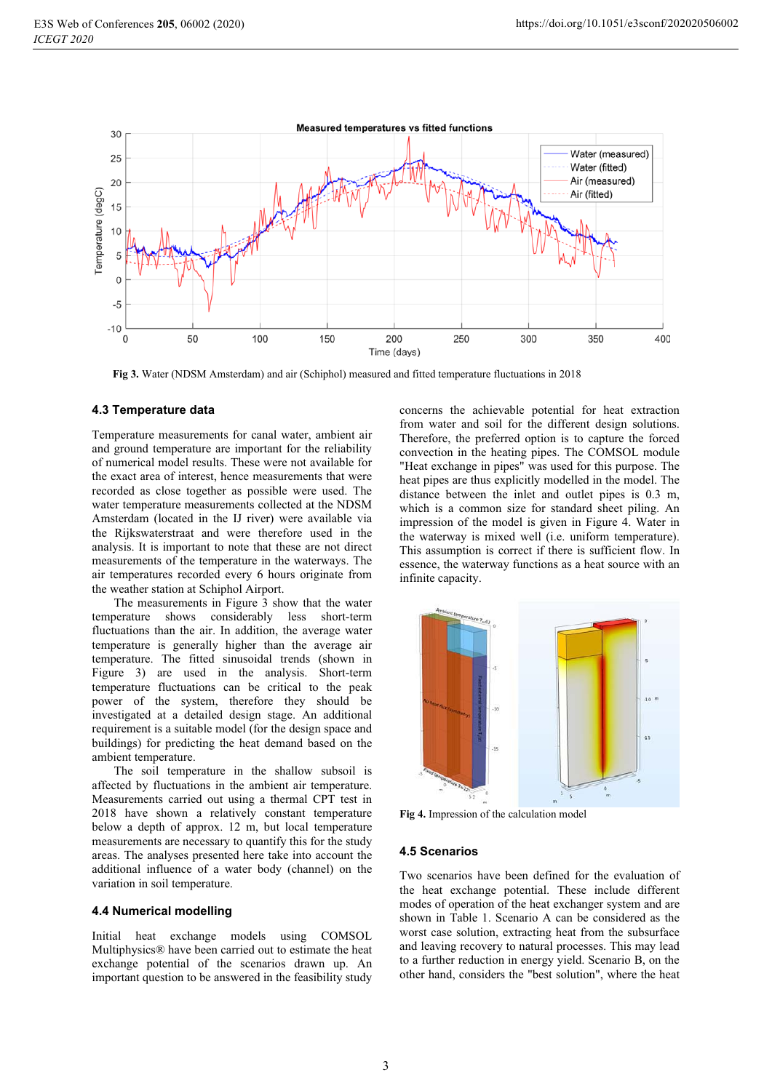

Fig 3. Water (NDSM Amsterdam) and air (Schiphol) measured and fitted temperature fluctuations in 2018

#### 4.3 Temperature data

Temperature measurements for canal water, ambient air and ground temperature are important for the reliability of numerical model results. These were not available for the exact area of interest, hence measurements that were recorded as close together as possible were used. The water temperature measurements collected at the NDSM Amsterdam (located in the IJ river) were available via the Rijkswaterstraat and were therefore used in the analysis. It is important to note that these are not direct measurements of the temperature in the waterways. The air temperatures recorded every 6 hours originate from the weather station at Schiphol Airport.

The measurements in Figure 3 show that the water temperature shows considerably less short-term fluctuations than the air. In addition, the average water temperature is generally higher than the average air temperature. The fitted sinusoidal trends (shown in Figure 3) are used in the analysis. Short-term temperature fluctuations can be critical to the peak power of the system, therefore they should be investigated at a detailed design stage. An additional requirement is a suitable model (for the design space and buildings) for predicting the heat demand based on the ambient temperature.

The soil temperature in the shallow subsoil is affected by fluctuations in the ambient air temperature. Measurements carried out using a thermal CPT test in 2018 have shown a relatively constant temperature below a depth of approx. 12 m, but local temperature measurements are necessary to quantify this for the study areas. The analyses presented here take into account the additional influence of a water body (channel) on the variation in soil temperature.

#### 4.4 Numerical modelling

Initial heat exchange models using COMSOL Multiphysics® have been carried out to estimate the heat exchange potential of the scenarios drawn up. An important question to be answered in the feasibility study concerns the achievable potential for heat extraction from water and soil for the different design solutions. Therefore, the preferred option is to capture the forced convection in the heating pipes. The COMSOL module "Heat exchange in pipes" was used for this purpose. The heat pipes are thus explicitly modelled in the model. The distance between the inlet and outlet pipes is 0.3 m, which is a common size for standard sheet piling. An impression of the model is given in Figure 4. Water in the waterway is mixed well (i.e. uniform temperature). This assumption is correct if there is sufficient flow. In essence, the waterway functions as a heat source with an infinite capacity.



Fig 4. Impression of the calculation model

#### **4.5 Scenarios**

Two scenarios have been defined for the evaluation of the heat exchange potential. These include different modes of operation of the heat exchanger system and are shown in Table 1. Scenario A can be considered as the worst case solution, extracting heat from the subsurface and leaving recovery to natural processes. This may lead to a further reduction in energy vield. Scenario B, on the other hand, considers the "best solution", where the heat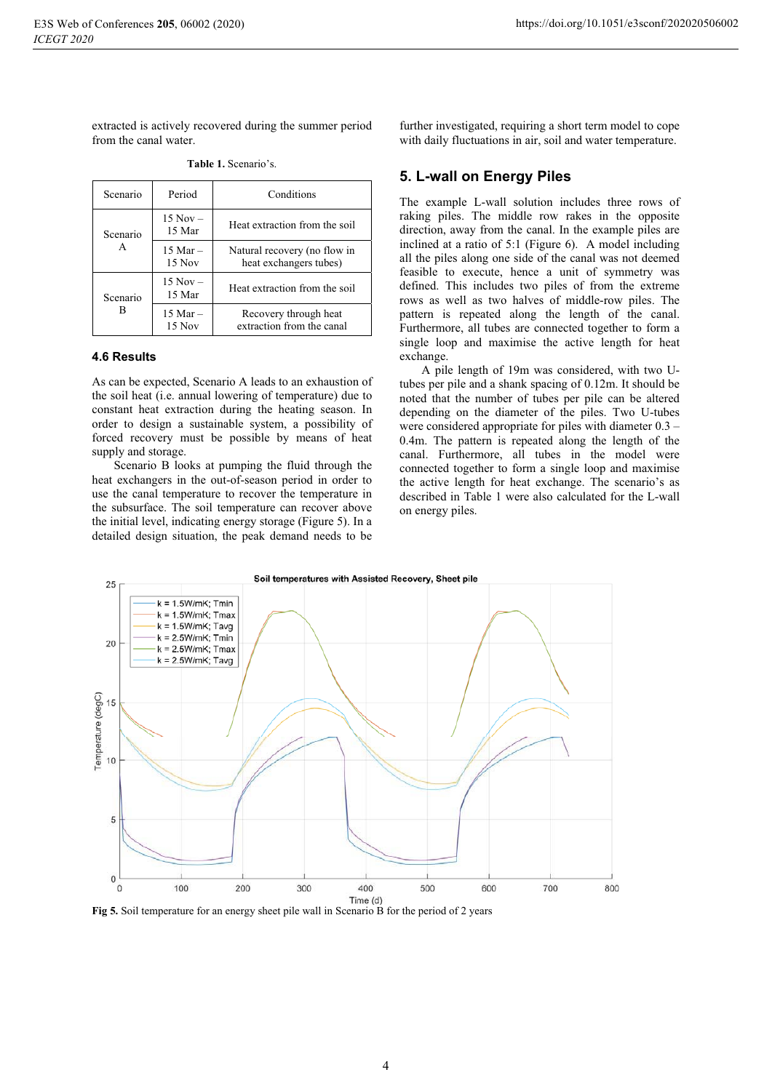extracted is actively recovered during the summer period from the canal water.

| Scenario      | Period                 | Conditions                                             |
|---------------|------------------------|--------------------------------------------------------|
| Scenario<br>A | $15 Nov -$<br>15 Mar   | Heat extraction from the soil                          |
|               | $15$ Mar $-$<br>15 Nov | Natural recovery (no flow in<br>heat exchangers tubes) |
| Scenario<br>в | $15 Nov -$<br>15 Mar   | Heat extraction from the soil                          |
|               | $15$ Mar $-$<br>15 Nov | Recovery through heat<br>extraction from the canal     |

Table 1. Scenario's.

#### 4.6 Results

As can be expected, Scenario A leads to an exhaustion of the soil heat (i.e. annual lowering of temperature) due to constant heat extraction during the heating season. In order to design a sustainable system, a possibility of forced recovery must be possible by means of heat supply and storage.

Scenario B looks at pumping the fluid through the heat exchangers in the out-of-season period in order to use the canal temperature to recover the temperature in the subsurface. The soil temperature can recover above the initial level, indicating energy storage (Figure 5). In a detailed design situation, the peak demand needs to be further investigated, requiring a short term model to cope with daily fluctuations in air, soil and water temperature.

### 5. L-wall on Energy Piles

The example L-wall solution includes three rows of raking piles. The middle row rakes in the opposite direction, away from the canal. In the example piles are inclined at a ratio of 5:1 (Figure 6). A model including all the piles along one side of the canal was not deemed feasible to execute, hence a unit of symmetry was defined. This includes two piles of from the extreme rows as well as two halves of middle-row piles. The pattern is repeated along the length of the canal. Furthermore, all tubes are connected together to form a single loop and maximise the active length for heat exchange.

A pile length of 19m was considered, with two Utubes per pile and a shank spacing of 0.12m. It should be noted that the number of tubes per pile can be altered depending on the diameter of the piles. Two U-tubes were considered appropriate for piles with diameter  $0.3 -$ 0.4m. The pattern is repeated along the length of the canal. Furthermore, all tubes in the model were connected together to form a single loop and maximise the active length for heat exchange. The scenario's as described in Table 1 were also calculated for the L-wall on energy piles.



Fig 5. Soil temperature for an energy sheet pile wall in Scenario B for the period of 2 years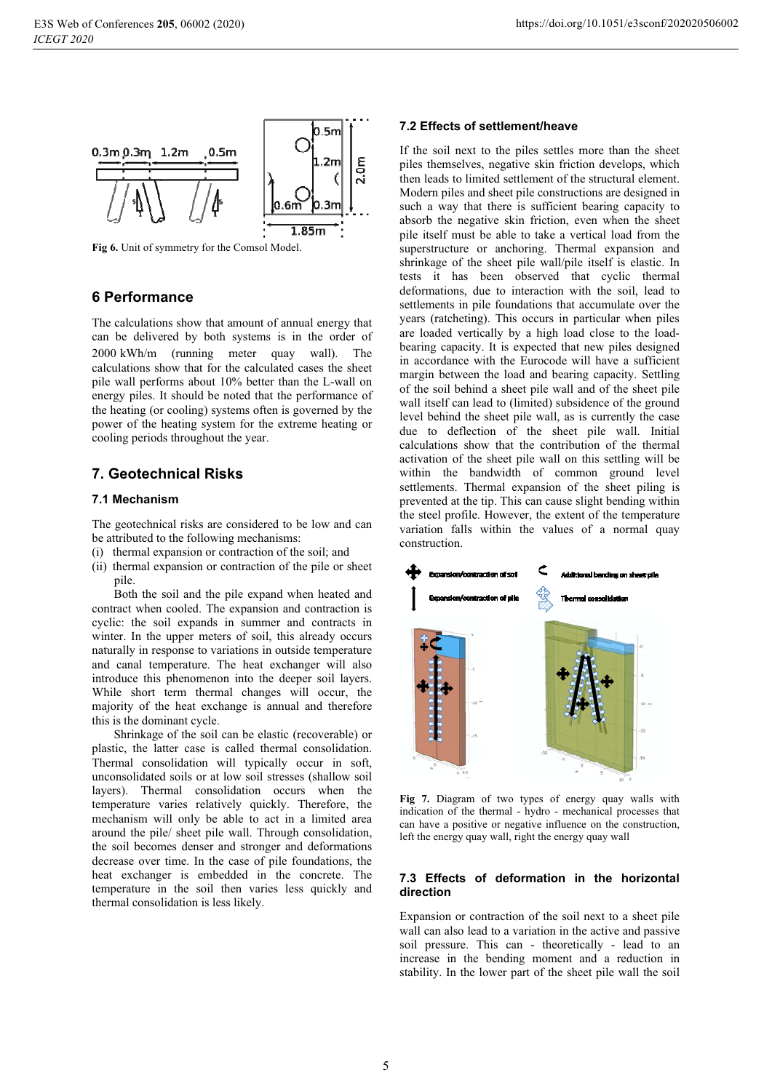

Fig 6. Unit of symmetry for the Comsol Model.

# **6 Performance**

The calculations show that amount of annual energy that can be delivered by both systems is in the order of 2000 kWh/m (running meter quay wall). The calculations show that for the calculated cases the sheet pile wall performs about 10% better than the L-wall on energy piles. It should be noted that the performance of the heating (or cooling) systems often is governed by the power of the heating system for the extreme heating or cooling periods throughout the year.

# **7. Geotechnical Risks**

### 7.1 Mechanism

The geotechnical risks are considered to be low and can be attributed to the following mechanisms:

- (i) thermal expansion or contraction of the soil; and
- (ii) thermal expansion or contraction of the pile or sheet pile.

Both the soil and the pile expand when heated and contract when cooled. The expansion and contraction is cyclic: the soil expands in summer and contracts in winter. In the upper meters of soil, this already occurs naturally in response to variations in outside temperature and canal temperature. The heat exchanger will also introduce this phenomenon into the deeper soil layers. While short term thermal changes will occur, the majority of the heat exchange is annual and therefore this is the dominant cycle.

Shrinkage of the soil can be elastic (recoverable) or plastic, the latter case is called thermal consolidation. Thermal consolidation will typically occur in soft, unconsolidated soils or at low soil stresses (shallow soil layers). Thermal consolidation occurs when the temperature varies relatively quickly. Therefore, the mechanism will only be able to act in a limited area around the pile/ sheet pile wall. Through consolidation, the soil becomes denser and stronger and deformations decrease over time. In the case of pile foundations, the heat exchanger is embedded in the concrete. The temperature in the soil then varies less quickly and thermal consolidation is less likely.

## 7.2 Effects of settlement/heave

If the soil next to the piles settles more than the sheet piles themselves, negative skin friction develops, which then leads to limited settlement of the structural element. Modern piles and sheet pile constructions are designed in such a way that there is sufficient bearing capacity to absorb the negative skin friction, even when the sheet pile itself must be able to take a vertical load from the superstructure or anchoring. Thermal expansion and shrinkage of the sheet pile wall/pile itself is elastic. In tests it has been observed that cyclic thermal deformations, due to interaction with the soil, lead to settlements in pile foundations that accumulate over the years (ratcheting). This occurs in particular when piles are loaded vertically by a high load close to the loadbearing capacity. It is expected that new piles designed in accordance with the Eurocode will have a sufficient margin between the load and bearing capacity. Settling of the soil behind a sheet pile wall and of the sheet pile wall itself can lead to (limited) subsidence of the ground level behind the sheet pile wall, as is currently the case due to deflection of the sheet pile wall. Initial calculations show that the contribution of the thermal activation of the sheet pile wall on this settling will be within the bandwidth of common ground level settlements. Thermal expansion of the sheet piling is prevented at the tip. This can cause slight bending within the steel profile. However, the extent of the temperature variation falls within the values of a normal quay construction



Fig 7. Diagram of two types of energy quay walls with indication of the thermal - hydro - mechanical processes that can have a positive or negative influence on the construction, left the energy quay wall, right the energy quay wall

### 7.3 Effects of deformation in the horizontal direction

Expansion or contraction of the soil next to a sheet pile wall can also lead to a variation in the active and passive soil pressure. This can - theoretically - lead to an increase in the bending moment and a reduction in stability. In the lower part of the sheet pile wall the soil